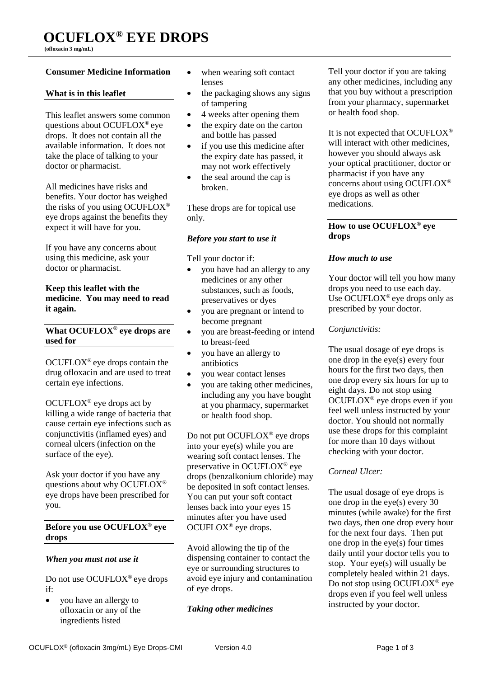**(ofloxacin 3 mg/mL)** 

## **Consumer Medicine Information**

### **What is in this leaflet**

This leaflet answers some common questions about OCUFLOX® eye drops. It does not contain all the available information. It does not take the place of talking to your doctor or pharmacist.

All medicines have risks and benefits. Your doctor has weighed the risks of you using OCUFLOX® eye drops against the benefits they expect it will have for you.

If you have any concerns about using this medicine, ask your doctor or pharmacist.

### **Keep this leaflet with the medicine**. **You may need to read it again.**

### **What OCUFLOX® eye drops are used for**

OCUFLOX® eye drops contain the drug ofloxacin and are used to treat certain eye infections.

OCUFLOX<sup>®</sup> eye drops act by killing a wide range of bacteria that cause certain eye infections such as conjunctivitis (inflamed eyes) and corneal ulcers (infection on the surface of the eye).

Ask your doctor if you have any questions about why OCUFLOX® eye drops have been prescribed for you.

## **Before you use OCUFLOX® eye drops**

## *When you must not use it*

Do not use OCUFLOX® eye drops if:

• you have an allergy to ofloxacin or any of the ingredients listed

- when wearing soft contact lenses
- $\bullet$  the packaging shows any signs of tampering
- 4 weeks after opening them
- the expiry date on the carton and bottle has passed
- if you use this medicine after the expiry date has passed, it may not work effectively
- $\bullet$  the seal around the cap is broken.

These drops are for topical use only.

## *Before you start to use it*

Tell your doctor if:

- you have had an allergy to any medicines or any other substances, such as foods, preservatives or dyes
- you are pregnant or intend to become pregnant
- you are breast-feeding or intend to breast-feed
- you have an allergy to antibiotics
- you wear contact lenses
- you are taking other medicines, including any you have bought at you pharmacy, supermarket or health food shop.

Do not put OCUFLOX® eye drops into your eye(s) while you are wearing soft contact lenses. The preservative in OCUFLOX® eye drops (benzalkonium chloride) may be deposited in soft contact lenses. You can put your soft contact lenses back into your eyes 15 minutes after you have used OCUFLOX® eye drops.

Avoid allowing the tip of the dispensing container to contact the eye or surrounding structures to avoid eye injury and contamination of eye drops.

## *Taking other medicines*

Tell your doctor if you are taking any other medicines, including any that you buy without a prescription from your pharmacy, supermarket or health food shop.

It is not expected that OCUFLOX® will interact with other medicines, however you should always ask your optical practitioner, doctor or pharmacist if you have any concerns about using OCUFLOX® eye drops as well as other medications.

## **How to use OCUFLOX® eye drops**

## *How much to use*

Your doctor will tell you how many drops you need to use each day. Use OCUFLOX® eye drops only as prescribed by your doctor.

## *Conjunctivitis:*

The usual dosage of eye drops is one drop in the eye(s) every four hours for the first two days, then one drop every six hours for up to eight days. Do not stop using OCUFLOX® eye drops even if you feel well unless instructed by your doctor. You should not normally use these drops for this complaint for more than 10 days without checking with your doctor.

# *Corneal Ulcer:*

The usual dosage of eye drops is one drop in the eye(s) every 30 minutes (while awake) for the first two days, then one drop every hour for the next four days. Then put one drop in the eye(s) four times daily until your doctor tells you to stop. Your eye(s) will usually be completely healed within 21 days. Do not stop using OCUFLOX® eye drops even if you feel well unless instructed by your doctor.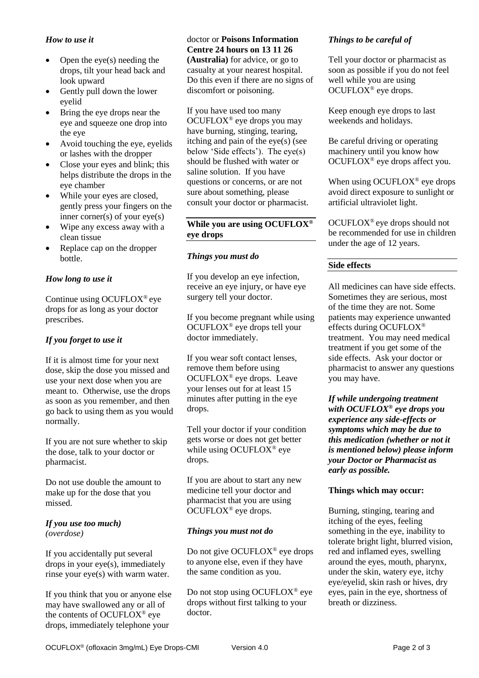### *How to use it*

- Open the eye(s) needing the drops, tilt your head back and look upward
- Gently pull down the lower eyelid
- Bring the eye drops near the eye and squeeze one drop into the eye
- Avoid touching the eye, eyelids or lashes with the dropper
- Close your eyes and blink; this helps distribute the drops in the eye chamber
- While your eyes are closed, gently press your fingers on the inner corner(s) of your eye(s)
- Wipe any excess away with a clean tissue
- Replace cap on the dropper bottle.

## *How long to use it*

Continue using OCUFLOX® eye drops for as long as your doctor prescribes.

## *If you forget to use it*

If it is almost time for your next dose, skip the dose you missed and use your next dose when you are meant to. Otherwise, use the drops as soon as you remember, and then go back to using them as you would normally.

If you are not sure whether to skip the dose, talk to your doctor or pharmacist.

Do not use double the amount to make up for the dose that you missed.

### *If you use too much) (overdose)*

If you accidentally put several drops in your eye(s), immediately rinse your eye(s) with warm water.

If you think that you or anyone else may have swallowed any or all of the contents of OCUFLOX® eye drops, immediately telephone your

#### doctor or **Poisons Information Centre 24 hours on 13 11 26**

**(Australia)** for advice, or go to casualty at your nearest hospital. Do this even if there are no signs of discomfort or poisoning.

If you have used too many OCUFLOX® eye drops you may have burning, stinging, tearing, itching and pain of the eye(s) (see below 'Side effects'). The eye(s) should be flushed with water or saline solution. If you have questions or concerns, or are not sure about something, please consult your doctor or pharmacist.

### **While you are using OCUFLOX® eye drops**

## *Things you must do*

If you develop an eye infection, receive an eye injury, or have eye surgery tell your doctor.

If you become pregnant while using OCUFLOX® eye drops tell your doctor immediately.

If you wear soft contact lenses, remove them before using OCUFLOX® eye drops. Leave your lenses out for at least 15 minutes after putting in the eye drops.

Tell your doctor if your condition gets worse or does not get better while using OCUFLOX® eye drops.

If you are about to start any new medicine tell your doctor and pharmacist that you are using OCUFLOX® eye drops.

## *Things you must not do*

Do not give OCUFLOX<sup>®</sup> eye drops to anyone else, even if they have the same condition as you.

Do not stop using OCUFLOX® eye drops without first talking to your doctor.

# *Things to be careful of*

Tell your doctor or pharmacist as soon as possible if you do not feel well while you are using OCUFLOX® eye drops.

Keep enough eye drops to last weekends and holidays.

Be careful driving or operating machinery until you know how OCUFLOX® eye drops affect you.

When using OCUFLOX<sup>®</sup> eye drops avoid direct exposure to sunlight or artificial ultraviolet light.

OCUFLOX® eye drops should not be recommended for use in children under the age of 12 years.

## **Side effects**

All medicines can have side effects. Sometimes they are serious, most of the time they are not. Some patients may experience unwanted effects during OCUFLOX® treatment. You may need medical treatment if you get some of the side effects. Ask your doctor or pharmacist to answer any questions you may have.

*If while undergoing treatment with OCUFLOX***®** *eye drops you experience any side-effects or symptoms which may be due to this medication (whether or not it is mentioned below) please inform your Doctor or Pharmacist as early as possible.*

## **Things which may occur:**

Burning, stinging, tearing and itching of the eyes, feeling something in the eye, inability to tolerate bright light, blurred vision, red and inflamed eyes, swelling around the eyes, mouth, pharynx, under the skin, watery eye, itchy eye/eyelid, skin rash or hives, dry eyes, pain in the eye, shortness of breath or dizziness.